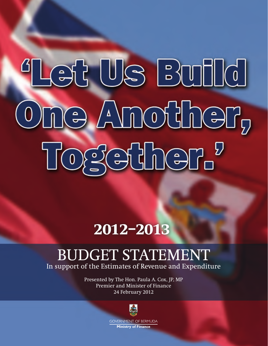# Let Us Build One Another, Togscher.

# **2012–2013**

# BUDGET STATEMENT

In support of the Estimates of Revenue and Expenditure

Presented by The Hon. Paula A. Cox, JP, MP Premier and Minister of Finance 24 February 2012

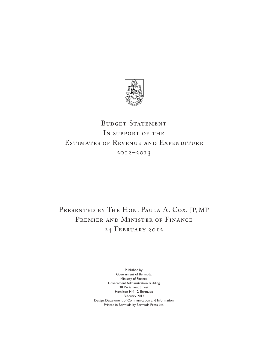

# BUDGET STATEMENT In support of the Estimates of Revenue and Expenditure 2012–2013

# PRESENTED BY THE HON. PAULA A. COX, JP, MP PREMIER AND MINISTER OF FINANCE 24 February 2012

Published by: Government of Bermuda Ministry of Finance Government Administration Building 30 Parliament Street Hamilton HM 12, Bermuda February 2012 Design: Department of Communication and Information Printed in Bermuda by Bermuda Press Ltd.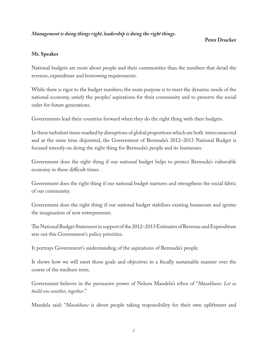#### *Management is doing things right, leadership is doing the right things.*

#### **Peter Drucker**

#### **Mr. Speaker**

National budgets are more about people and their communities than the numbers that detail the revenue, expenditure and borrowing requirements.

While there is rigor to the budget numbers, the main purpose is to meet the dynamic needs of the national economy, satisfy the peoples' aspirations for their community and to preserve the social order for future generations.

Governments lead their countries forward when they do the right thing with their budgets.

In these turbulent times marked by disruptions of global proportions which are both interconnected and at the same time disjointed, the Government of Bermuda's 2012–2013 National Budget is focused intently on doing the right thing for Bermuda's people and its businesses.

Government does the right thing if our national budget helps to protect Bermuda's vulnerable economy in these difficult times.

Government does the right thing if our national budget nurtures and strengthens the social fabric of our community.

Government does the right thing if our national budget stabilises existing businesses and ignites the imagination of new entrepreneurs.

The National Budget Statement in support of the 2012–2013 Estimates of Revenue and Expenditure sets out this Government's policy priorities.

It portrays Government's understanding of the aspirations of Bermuda's people.

It shows how we will meet those goals and objectives in a fiscally sustainable manner over the course of the medium term.

Government believes in the persuasive power of Nelson Mandela's ethos of "*Masakhane: Let us build one another, together*."

Mandela said: "*Masakhane* is about people taking responsibility for their own upliftment and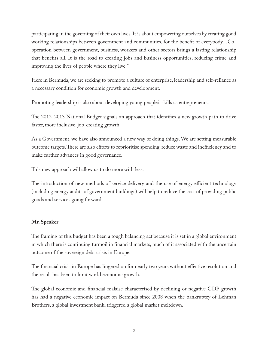participating in the governing of their own lives. It is about empowering ourselves by creating good working relationships between government and communities, for the benefit of everybody…Cooperation between government, business, workers and other sectors brings a lasting relationship that benefits all. It is the road to creating jobs and business opportunities, reducing crime and improving the lives of people where they live."

Here in Bermuda, we are seeking to promote a culture of enterprise, leadership and self-reliance as a necessary condition for economic growth and development.

Promoting leadership is also about developing young people's skills as entrepreneurs.

The 2012–2013 National Budget signals an approach that identifies a new growth path to drive faster, more inclusive, job-creating growth.

As a Government, we have also announced a new way of doing things. We are setting measurable outcome targets. There are also efforts to reprioritise spending, reduce waste and inefficiency and to make further advances in good governance.

This new approach will allow us to do more with less.

The introduction of new methods of service delivery and the use of energy efficient technology (including energy audits of government buildings) will help to reduce the cost of providing public goods and services going forward.

#### **Mr. Speaker**

The framing of this budget has been a tough balancing act because it is set in a global environment in which there is continuing turmoil in financial markets, much of it associated with the uncertain outcome of the sovereign debt crisis in Europe.

The financial crisis in Europe has lingered on for nearly two years without effective resolution and the result has been to limit world economic growth.

The global economic and financial malaise characterised by declining or negative GDP growth has had a negative economic impact on Bermuda since 2008 when the bankruptcy of Lehman Brothers, a global investment bank, triggered a global market meltdown.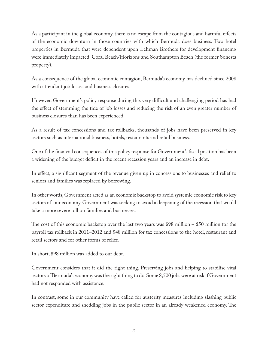As a participant in the global economy, there is no escape from the contagious and harmful effects of the economic downturn in those countries with which Bermuda does business. Two hotel properties in Bermuda that were dependent upon Lehman Brothers for development financing were immediately impacted: Coral Beach/Horizons and Southampton Beach (the former Sonesta property).

As a consequence of the global economic contagion, Bermuda's economy has declined since 2008 with attendant job losses and business closures.

However, Government's policy response during this very difficult and challenging period has had the effect of stemming the tide of job losses and reducing the risk of an even greater number of business closures than has been experienced.

As a result of tax concessions and tax rollbacks, thousands of jobs have been preserved in key sectors such as international business, hotels, restaurants and retail business.

One of the financial consequences of this policy response for Government's fiscal position has been a widening of the budget deficit in the recent recession years and an increase in debt.

In effect, a significant segment of the revenue given up in concessions to businesses and relief to seniors and families was replaced by borrowing.

In other words, Government acted as an economic backstop to avoid systemic economic risk to key sectors of our economy. Government was seeking to avoid a deepening of the recession that would take a more severe toll on families and businesses.

The cost of this economic backstop over the last two years was \$98 million – \$50 million for the payroll tax rollback in 2011–2012 and \$48 million for tax concessions to the hotel, restaurant and retail sectors and for other forms of relief.

In short, \$98 million was added to our debt.

Government considers that it did the right thing. Preserving jobs and helping to stabilise vital sectors of Bermuda's economy was the right thing to do. Some 8,500 jobs were at risk if Government had not responded with assistance.

In contrast, some in our community have called for austerity measures including slashing public sector expenditure and shedding jobs in the public sector in an already weakened economy. The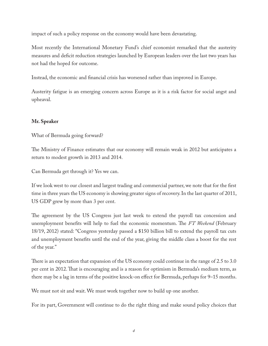impact of such a policy response on the economy would have been devastating.

Most recently the International Monetary Fund's chief economist remarked that the austerity measures and deficit reduction strategies launched by European leaders over the last two years has not had the hoped for outcome.

Instead, the economic and financial crisis has worsened rather than improved in Europe.

Austerity fatigue is an emerging concern across Europe as it is a risk factor for social angst and upheaval.

#### **Mr. Speaker**

What of Bermuda going forward?

The Ministry of Finance estimates that our economy will remain weak in 2012 but anticipates a return to modest growth in 2013 and 2014.

Can Bermuda get through it? Yes we can.

If we look west to our closest and largest trading and commercial partner, we note that for the first time in three years the US economy is showing greater signs of recovery. In the last quarter of 2011, US GDP grew by more than 3 per cent.

The agreement by the US Congress just last week to extend the payroll tax concession and unemployment benefits will help to fuel the economic momentum. The *FT Weekend* (February 18/19, 2012) stated: "Congress yesterday passed a \$150 billion bill to extend the payroll tax cuts and unemployment benefits until the end of the year, giving the middle class a boost for the rest of the year."

There is an expectation that expansion of the US economy could continue in the range of 2.5 to 3.0 per cent in 2012. That is encouraging and is a reason for optimism in Bermuda's medium term, as there may be a lag in terms of the positive knock-on effect for Bermuda, perhaps for 9–15 months.

We must not sit and wait. We must work together now to build up one another.

For its part, Government will continue to do the right thing and make sound policy choices that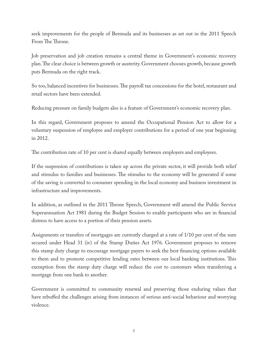seek improvements for the people of Bermuda and its businesses as set out in the 2011 Speech From The Throne.

Job preservation and job creation remains a central theme in Government's economic recovery plan. The clear choice is between growth or austerity. Government chooses growth, because growth puts Bermuda on the right track.

So too, balanced incentives for businesses. The payroll tax concessions for the hotel, restaurant and retail sectors have been extended.

Reducing pressure on family budgets also is a feature of Government's economic recovery plan.

In this regard, Government proposes to amend the Occupational Pension Act to allow for a voluntary suspension of employee and employer contributions for a period of one year beginning in 2012.

The contribution rate of 10 per cent is shared equally between employers and employees.

If the suspension of contributions is taken up across the private sector, it will provide both relief and stimulus to families and businesses. The stimulus to the economy will be generated if some of the saving is converted to consumer spending in the local economy and business investment in infrastructure and improvements.

In addition, as outlined in the 2011 Throne Speech, Government will amend the Public Service Superannuation Act 1981 during the Budget Session to enable participants who are in financial distress to have access to a portion of their pension assets.

Assignments or transfers of mortgages are currently charged at a rate of 1/10 per cent of the sum secured under Head 31 (iv) of the Stamp Duties Act 1976. Government proposes to remove this stamp duty charge to encourage mortgage payers to seek the best financing options available to them and to promote competitive lending rates between our local banking institutions. This exemption from the stamp duty charge will reduce the cost to customers when transferring a mortgage from one bank to another.

Government is committed to community renewal and preserving those enduring values that have rebuffed the challenges arising from instances of serious anti-social behaviour and worrying violence.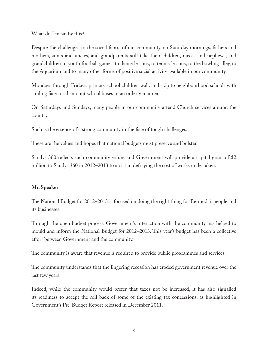#### What do I mean by this?

Despite the challenges to the social fabric of our community, on Saturday mornings, fathers and mothers, aunts and uncles, and grandparents still take their children, nieces and nephews, and grandchildren to youth football games, to dance lessons, to tennis lessons, to the bowling alley, to the Aquarium and to many other forms of positive social activity available in our community.

Mondays through Fridays, primary school children walk and skip to neighbourhood schools with smiling faces or dismount school buses in an orderly manner.

On Saturdays and Sundays, many people in our community attend Church services around the country.

Such is the essence of a strong community in the face of tough challenges.

These are the values and hopes that national budgets must preserve and bolster.

Sandys 360 reflects such community values and Government will provide a capital grant of \$2 million to Sandys 360 in 2012–2013 to assist in defraying the cost of works undertaken.

#### **Mr. Speaker**

The National Budget for 2012–2013 is focused on doing the right thing for Bermuda's people and its businesses.

Through the open budget process, Government's interaction with the community has helped to mould and inform the National Budget for 2012–2013. This year's budget has been a collective effort between Government and the community.

The community is aware that revenue is required to provide public programmes and services.

The community understands that the lingering recession has eroded government revenue over the last few years.

Indeed, while the community would prefer that taxes not be increased, it has also signalled its readiness to accept the roll back of some of the existing tax concessions, as highlighted in Government's Pre-Budget Report released in December 2011.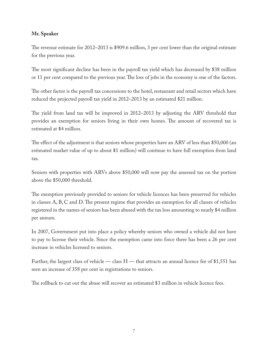#### **Mr. Speaker**

The revenue estimate for 2012–2013 is \$909.6 million, 3 per cent lower than the original estimate for the previous year.

The most significant decline has been in the payroll tax yield which has decreased by \$38 million or 11 per cent compared to the previous year. The loss of jobs in the economy is one of the factors.

The other factor is the payroll tax concessions to the hotel, restaurant and retail sectors which have reduced the projected payroll tax yield in 2012–2013 by an estimated \$21 million.

The yield from land tax will be improved in 2012–2013 by adjusting the ARV threshold that provides an exemption for seniors living in their own homes. The amount of recovered tax is estimated at \$4 million.

The effect of the adjustment is that seniors whose properties have an ARV of less than \$50,000 (an estimated market value of up to about \$1 million) will continue to have full exemption from land tax.

Seniors with properties with ARVs above \$50,000 will now pay the assessed tax on the portion above the \$50,000 threshold.

The exemption previously provided to seniors for vehicle licences has been preserved for vehicles in classes A, B, C and D. The present regime that provides an exemption for all classes of vehicles registered in the names of seniors has been abused with the tax loss amounting to nearly \$4 million per annum.

In 2007, Government put into place a policy whereby seniors who owned a vehicle did not have to pay to license their vehicle. Since the exemption came into force there has been a 26 per cent increase in vehicles licensed to seniors.

Further, the largest class of vehicle — class  $H$  — that attracts an annual licence fee of \$1,551 has seen an increase of 358 per cent in registrations to seniors.

The rollback to cut out the abuse will recover an estimated \$3 million in vehicle licence fees.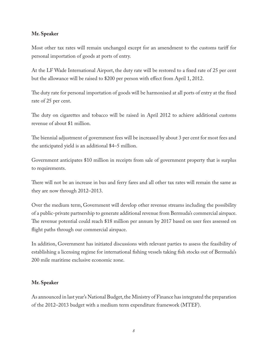#### **Mr. Speaker**

Most other tax rates will remain unchanged except for an amendment to the customs tariff for personal importation of goods at ports of entry.

At the LF Wade International Airport, the duty rate will be restored to a fixed rate of 25 per cent but the allowance will be raised to \$200 per person with effect from April 1, 2012.

The duty rate for personal importation of goods will be harmonised at all ports of entry at the fixed rate of 25 per cent.

The duty on cigarettes and tobacco will be raised in April 2012 to achieve additional customs revenue of about \$1 million.

The biennial adjustment of government fees will be increased by about 3 per cent for most fees and the anticipated yield is an additional \$4–5 million.

Government anticipates \$10 million in receipts from sale of government property that is surplus to requirements.

There will not be an increase in bus and ferry fares and all other tax rates will remain the same as they are now through 2012–2013.

Over the medium term, Government will develop other revenue streams including the possibility of a public-private partnership to generate additional revenue from Bermuda's commercial airspace. The revenue potential could reach \$18 million per annum by 2017 based on user fees assessed on flight paths through our commercial airspace.

In addition, Government has initiated discussions with relevant parties to assess the feasibility of establishing a licensing regime for international fishing vessels taking fish stocks out of Bermuda's 200 mile maritime exclusive economic zone.

#### **Mr. Speaker**

As announced in last year's National Budget, the Ministry of Finance has integrated the preparation of the 2012–2013 budget with a medium term expenditure framework (MTEF).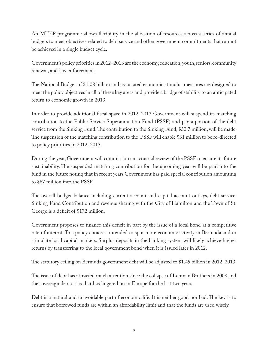An MTEF programme allows flexibility in the allocation of resources across a series of annual budgets to meet objectives related to debt service and other government commitments that cannot be achieved in a single budget cycle.

Government's policy priorities in 2012–2013 are the economy, education, youth, seniors, community renewal, and law enforcement.

The National Budget of \$1.08 billion and associated economic stimulus measures are designed to meet the policy objectives in all of these key areas and provide a bridge of stability to an anticipated return to economic growth in 2013.

In order to provide additional fiscal space in 2012–2013 Government will suspend its matching contribution to the Public Service Superannuation Fund (PSSF) and pay a portion of the debt service from the Sinking Fund. The contribution to the Sinking Fund, \$30.7 million, will be made. The suspension of the matching contribution to the PSSF will enable \$31 million to be re-directed to policy priorities in 2012–2013.

During the year, Government will commission an actuarial review of the PSSF to ensure its future sustainability. The suspended matching contribution for the upcoming year will be paid into the fund in the future noting that in recent years Government has paid special contribution amounting to \$87 million into the PSSF.

The overall budget balance including current account and capital account outlays, debt service, Sinking Fund Contribution and revenue sharing with the City of Hamilton and the Town of St. George is a deficit of \$172 million.

Government proposes to finance this deficit in part by the issue of a local bond at a competitive rate of interest. This policy choice is intended to spur more economic activity in Bermuda and to stimulate local capital markets. Surplus deposits in the banking system will likely achieve higher returns by transferring to the local government bond when it is issued later in 2012.

The statutory ceiling on Bermuda government debt will be adjusted to \$1.45 billion in 2012–2013.

The issue of debt has attracted much attention since the collapse of Lehman Brothers in 2008 and the sovereign debt crisis that has lingered on in Europe for the last two years.

Debt is a natural and unavoidable part of economic life. It is neither good nor bad. The key is to ensure that borrowed funds are within an affordability limit and that the funds are used wisely.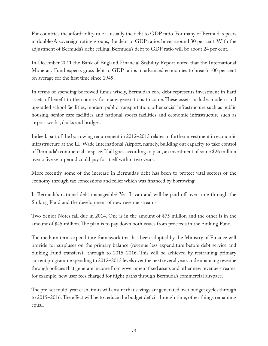For countries the affordability rule is usually the debt to GDP ratio. For many of Bermuda's peers in double-A sovereign rating groups, the debt to GDP ratios hover around 30 per cent. With the adjustment of Bermuda's debt ceiling, Bermuda's debt to GDP ratio will be about 24 per cent.

In December 2011 the Bank of England Financial Stability Report noted that the International Monetary Fund expects gross debt to GDP ratios in advanced economies to breach 100 per cent on average for the first time since 1945.

In terms of spending borrowed funds wisely, Bermuda's core debt represents investment in hard assets of benefit to the country for many generations to come. These assets include: modern and upgraded school facilities; modern public transportation, other social infrastructure such as public housing, senior care facilities and national sports facilities and economic infrastructure such as airport works, docks and bridges.

Indeed, part of the borrowing requirement in 2012–2013 relates to further investment in economic infrastructure at the LF Wade International Airport, namely, building out capacity to take control of Bermuda's commercial airspace. If all goes according to plan, an investment of some \$26 million over a five year period could pay for itself within two years.

More recently, some of the increase in Bermuda's debt has been to protect vital sectors of the economy through tax concessions and relief which was financed by borrowing.

Is Bermuda's national debt manageable? Yes. It can and will be paid off over time through the Sinking Fund and the development of new revenue streams.

Two Senior Notes fall due in 2014. One is in the amount of \$75 million and the other is in the amount of \$45 million. The plan is to pay down both issues from proceeds in the Sinking Fund.

The medium term expenditure framework that has been adopted by the Ministry of Finance will provide for surpluses on the primary balance (revenue less expenditure before debt service and Sinking Fund transfers) through to 2015–2016. This will be achieved by restraining primary current programme spending to 2012–2013 levels over the next several years and enhancing revenue through policies that generate income from government fixed assets and other new revenue streams, for example, new user fees charged for flight paths through Bermuda's commercial airspace.

The pre-set multi-year cash limits will ensure that savings are generated over budget cycles through to 2015–2016. The effect will be to reduce the budget deficit through time, other things remaining equal.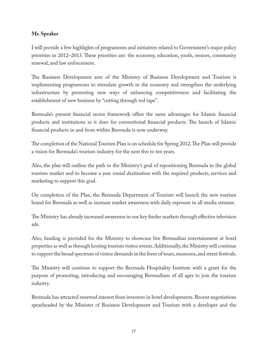#### **Mr. Speaker**

I will provide a few highlights of programmes and initiatives related to Government's major policy priorities in 2012–2013. These priorities are: the economy, education, youth, seniors, community renewal, and law enforcement.

The Business Development arm of the Ministry of Business Development and Tourism is implementing programmes to stimulate growth in the economy and strengthen the underlying infrastructure by promoting new ways of enhancing competitiveness and facilitating the establishment of new business by "cutting through red tape".

Bermuda's present financial sector framework offers the same advantages for Islamic financial products and institutions as it does for conventional financial products. The launch of Islamic financial products in and from within Bermuda is now underway.

The completion of the National Tourism Plan is on schedule for Spring 2012. The Plan will provide a vision for Bermuda's tourism industry for the next five to ten years.

Also, the plan will outline the path to the Ministry's goal of repositioning Bermuda in the global tourism market and to become a year round destination with the required products, services and marketing to support this goal.

On completion of the Plan, the Bermuda Department of Tourism will launch the new tourism brand for Bermuda as well as increase market awareness with daily exposure in all media streams.

The Ministry has already increased awareness in our key feeder markets through effective television ads.

Also, funding is provided for the Ministry to showcase live Bermudian entertainment at hotel properties as well as through hosting tourism visitor events. Additionally, the Ministry will continue to support the broad spectrum of visitor demands in the form of tours, museums, and street festivals.

The Ministry will continue to support the Bermuda Hospitality Institute with a grant for the purpose of promoting, introducing and encouraging Bermudians of all ages to join the tourism industry.

Bermuda has attracted renewed interest from investors in hotel developments. Recent negotiations spearheaded by the Minister of Business Development and Tourism with a developer and the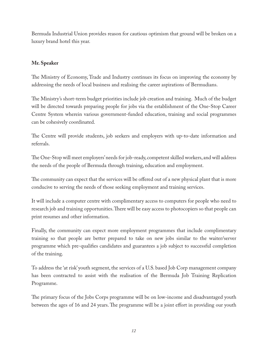Bermuda Industrial Union provides reason for cautious optimism that ground will be broken on a luxury brand hotel this year.

#### **Mr. Speaker**

The Ministry of Economy, Trade and Industry continues its focus on improving the economy by addressing the needs of local business and realising the career aspirations of Bermudians.

The Ministry's short-term budget priorities include job creation and training. Much of the budget will be directed towards preparing people for jobs via the establishment of the One-Stop Career Centre System wherein various government-funded education, training and social programmes can be cohesively coordinated.

The Centre will provide students, job seekers and employers with up-to-date information and referrals.

The One-Stop will meet employers' needs for job-ready, competent skilled workers, and will address the needs of the people of Bermuda through training, education and employment.

The community can expect that the services will be offered out of a new physical plant that is more conducive to serving the needs of those seeking employment and training services.

It will include a computer centre with complimentary access to computers for people who need to research job and training opportunities. There will be easy access to photocopiers so that people can print resumes and other information.

Finally, the community can expect more employment programmes that include complimentary training so that people are better prepared to take on new jobs similar to the waiter/server programme which pre-qualifies candidates and guarantees a job subject to successful completion of the training.

To address the 'at risk' youth segment, the services of a U.S. based Job Corp management company has been contracted to assist with the realisation of the Bermuda Job Training Replication Programme.

The primary focus of the Jobs Corps programme will be on low-income and disadvantaged youth between the ages of 16 and 24 years. The programme will be a joint effort in providing our youth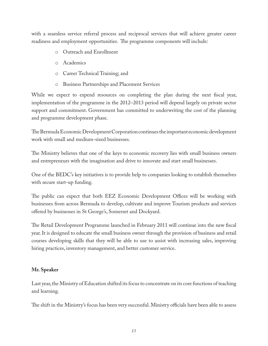with a seamless service referral process and reciprocal services that will achieve greater career readiness and employment opportunities. The programme components will include:

- o Outreach and Enrollment
- o Academics
- o Career Technical Training; and
- o Business Partnerships and Placement Services

While we expect to expend resources on completing the plan during the next fiscal year, implementation of the programme in the 2012–2013 period will depend largely on private sector support and commitment. Government has committed to underwriting the cost of the planning and programme development phase.

The Bermuda Economic Development Corporation continues the important economic development work with small and medium-sized businesses.

The Ministry believes that one of the keys to economic recovery lies with small business owners and entrepreneurs with the imagination and drive to innovate and start small businesses.

One of the BEDC's key initiatives is to provide help to companies looking to establish themselves with secure start-up funding.

The public can expect that both EEZ Economic Development Offices will be working with businesses from across Bermuda to develop, cultivate and improve Tourism products and services offered by businesses in St George's, Somerset and Dockyard.

The Retail Development Programme launched in February 2011 will continue into the new fiscal year. It is designed to educate the small business owner through the provision of business and retail courses developing skills that they will be able to use to assist with increasing sales, improving hiring practices, inventory management, and better customer service.

#### **Mr. Speaker**

Last year, the Ministry of Education shifted its focus to concentrate on its core functions of teaching and learning.

The shift in the Ministry's focus has been very successful. Ministry officials have been able to assess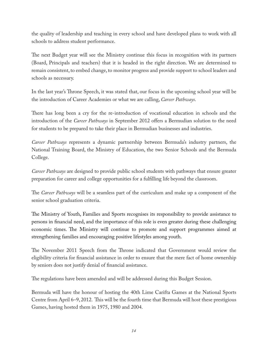the quality of leadership and teaching in every school and have developed plans to work with all schools to address student performance.

The next Budget year will see the Ministry continue this focus in recognition with its partners (Board, Principals and teachers) that it is headed in the right direction. We are determined to remain consistent, to embed change, to monitor progress and provide support to school leaders and schools as necessary.

In the last year's Throne Speech, it was stated that, our focus in the upcoming school year will be the introduction of Career Academies or what we are calling, *Career Pathways*.

There has long been a cry for the re-introduction of vocational education in schools and the introduction of the *Career Pathways* in September 2012 offers a Bermudian solution to the need for students to be prepared to take their place in Bermudian businesses and industries.

*Career Pathways* represents a dynamic partnership between Bermuda's industry partners, the National Training Board, the Ministry of Education, the two Senior Schools and the Bermuda College.

*Career Pathways* are designed to provide public school students with pathways that ensure greater preparation for career and college opportunities for a fulfilling life beyond the classroom.

The *Career Pathways* will be a seamless part of the curriculum and make up a component of the senior school graduation criteria.

The Ministry of Youth, Families and Sports recognises its responsibility to provide assistance to persons in financial need, and the importance of this role is even greater during these challenging economic times. The Ministry will continue to promote and support programmes aimed at strengthening families and encouraging positive lifestyles among youth.

The November 2011 Speech from the Throne indicated that Government would review the eligibility criteria for financial assistance in order to ensure that the mere fact of home ownership by seniors does not justify denial of financial assistance.

The regulations have been amended and will be addressed during this Budget Session.

Bermuda will have the honour of hosting the 40th Lime Carifta Games at the National Sports Centre from April 6–9, 2012. This will be the fourth time that Bermuda will host these prestigious Games, having hosted them in 1975, 1980 and 2004.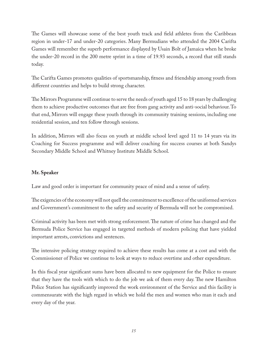The Games will showcase some of the best youth track and field athletes from the Caribbean region in under-17 and under-20 categories. Many Bermudians who attended the 2004 Carifta Games will remember the superb performance displayed by Usain Bolt of Jamaica when he broke the under-20 record in the 200 metre sprint in a time of 19.93 seconds, a record that still stands today.

The Carifta Games promotes qualities of sportsmanship, fitness and friendship among youth from different countries and helps to build strong character.

The Mirrors Programme will continue to serve the needs of youth aged 15 to 18 years by challenging them to achieve productive outcomes that are free from gang activity and anti-social behaviour. To that end, Mirrors will engage these youth through its community training sessions, including one residential session, and ten follow through sessions.

In addition, Mirrors will also focus on youth at middle school level aged 11 to 14 years via its Coaching for Success programme and will deliver coaching for success courses at both Sandys Secondary Middle School and Whitney Institute Middle School.

#### **Mr. Speaker**

Law and good order is important for community peace of mind and a sense of safety.

The exigencies of the economy will not quell the commitment to excellence of the uniformed services and Government's commitment to the safety and security of Bermuda will not be compromised.

Criminal activity has been met with strong enforcement. The nature of crime has changed and the Bermuda Police Service has engaged in targeted methods of modern policing that have yielded important arrests, convictions and sentences.

The intensive policing strategy required to achieve these results has come at a cost and with the Commissioner of Police we continue to look at ways to reduce overtime and other expenditure.

In this fiscal year significant sums have been allocated to new equipment for the Police to ensure that they have the tools with which to do the job we ask of them every day. The new Hamilton Police Station has significantly improved the work environment of the Service and this facility is commensurate with the high regard in which we hold the men and women who man it each and every day of the year.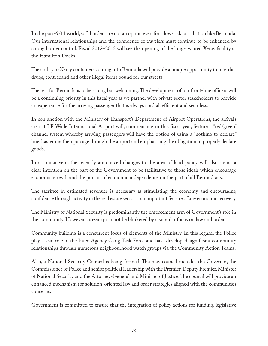In the post-9/11 world, soft borders are not an option even for a low-risk jurisdiction like Bermuda. Our international relationships and the confidence of travelers must continue to be enhanced by strong border control. Fiscal 2012–2013 will see the opening of the long-awaited X-ray facility at the Hamilton Docks.

The ability to X-ray containers coming into Bermuda will provide a unique opportunity to interdict drugs, contraband and other illegal items bound for our streets.

The test for Bermuda is to be strong but welcoming. The development of our front-line officers will be a continuing priority in this fiscal year as we partner with private sector stakeholders to provide an experience for the arriving passenger that is always cordial, efficient and seamless.

In conjunction with the Ministry of Transport's Department of Airport Operations, the arrivals area at LF Wade International Airport will, commencing in this fiscal year, feature a "red/green" channel system whereby arriving passengers will have the option of using a "nothing to declare" line, hastening their passage through the airport and emphasising the obligation to properly declare goods.

In a similar vein, the recently announced changes to the area of land policy will also signal a clear intention on the part of the Government to be facilitative to those ideals which encourage economic growth and the pursuit of economic independence on the part of all Bermudians.

The sacrifice in estimated revenues is necessary as stimulating the economy and encouraging confidence through activity in the real estate sector is an important feature of any economic recovery.

The Ministry of National Security is predominantly the enforcement arm of Government's role in the community. However, citizenry cannot be blinkered by a singular focus on law and order.

Community building is a concurrent focus of elements of the Ministry. In this regard, the Police play a lead role in the Inter-Agency Gang Task Force and have developed significant community relationships through numerous neighbourhood watch groups via the Community Action Teams.

Also, a National Security Council is being formed. The new council includes the Governor, the Commissioner of Police and senior political leadership with the Premier, Deputy Premier, Minister of National Security and the Attorney-General and Minister of Justice. The council will provide an enhanced mechanism for solution-oriented law and order strategies aligned with the communities concerns.

Government is committed to ensure that the integration of policy actions for funding, legislative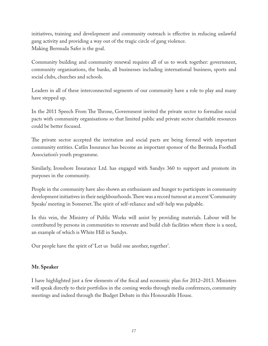initiatives, training and development and community outreach is effective in reducing unlawful gang activity and providing a way out of the tragic circle of gang violence. Making Bermuda Safer is the goal.

Community building and community renewal requires all of us to work together: government, community organisations, the banks, all businesses including international business, sports and social clubs, churches and schools.

Leaders in all of these interconnected segments of our community have a role to play and many have stepped up.

In the 2011 Speech From The Throne, Government invited the private sector to formalise social pacts with community organisations so that limited public and private sector charitable resources could be better focused.

The private sector accepted the invitation and social pacts are being formed with important community entities. Catlin Insurance has become an important sponsor of the Bermuda Football Association's youth programme.

Similarly, Ironshore Insurance Ltd. has engaged with Sandys 360 to support and promote its purposes in the community.

People in the community have also shown an enthusiasm and hunger to participate in community development initiatives in their neighbourhoods. There was a record turnout at a recent 'Community Speaks' meeting in Somerset. The spirit of self-reliance and self-help was palpable.

In this vein, the Ministry of Public Works will assist by providing materials. Labour will be contributed by persons in communities to renovate and build club facilities where there is a need, an example of which is White Hill in Sandys.

Our people have the spirit of 'Let us build one another, together'.

#### **Mr. Speaker**

I have highlighted just a few elements of the fiscal and economic plan for 2012–2013. Ministers will speak directly to their portfolios in the coming weeks through media conferences, community meetings and indeed through the Budget Debate in this Honourable House.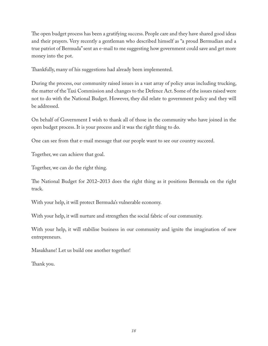The open budget process has been a gratifying success. People care and they have shared good ideas and their prayers. Very recently a gentleman who described himself as "a proud Bermudian and a true patriot of Bermuda" sent an e-mail to me suggesting how government could save and get more money into the pot.

Thankfully, many of his suggestions had already been implemented.

During the process, our community raised issues in a vast array of policy areas including trucking, the matter of the Taxi Commission and changes to the Defence Act. Some of the issues raised were not to do with the National Budget. However, they did relate to government policy and they will be addressed.

On behalf of Government I wish to thank all of those in the community who have joined in the open budget process. It is your process and it was the right thing to do.

One can see from that e-mail message that our people want to see our country succeed.

Together, we can achieve that goal.

Together, we can do the right thing.

The National Budget for 2012–2013 does the right thing as it positions Bermuda on the right track.

With your help, it will protect Bermuda's vulnerable economy.

With your help, it will nurture and strengthen the social fabric of our community.

With your help, it will stabilise business in our community and ignite the imagination of new entrepreneurs.

Masakhane! Let us build one another together!

Thank you.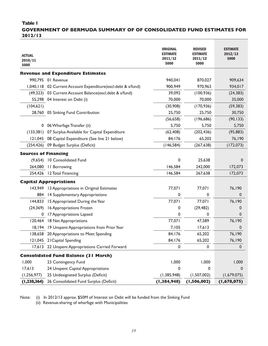#### **Table 1**

Ī

#### **GOVERNMENT OF BERMUDA SUMMARY OF OF CONSOLIDATED FUND ESTIMATES FOR 2012/13**

| <b>ACTUAL</b><br>2010/11<br>\$000 |                                                              | <b>ORIGINAL</b><br><b>ESTIMATE</b><br>2011/12<br>\$000 | <b>REVISED</b><br><b>ESTIMATE</b><br>2011/12<br>\$000 | <b>ESTIMATE</b><br>2012/13<br>\$000 |
|-----------------------------------|--------------------------------------------------------------|--------------------------------------------------------|-------------------------------------------------------|-------------------------------------|
|                                   | <b>Revenue and Expenditure Estimates</b>                     |                                                        |                                                       |                                     |
|                                   | 990,795 01 Revenue                                           | 940,041                                                | 870,027                                               | 909,634                             |
|                                   | 1,040,118 02 Current Account Expenditure(excl.debt & s/fund) | 900,949                                                | 970,963                                               | 934,017                             |
|                                   | (49,323) 03 Current Account Balance(excl.debt & s/fund)      | 39,092                                                 | (100, 936)                                            | (24, 383)                           |
|                                   | 55,298 04 Interest on Debt (i)                               | 70,000                                                 | 70,000                                                | 35,000                              |
| (104, 621)                        |                                                              | (30,908)                                               | (170, 936)                                            | (59, 383)                           |
|                                   | 28,760 05 Sinking Fund Contribution                          | 25,750                                                 | 25,750                                                | 30,750                              |
|                                   |                                                              | (56, 658)                                              | (196, 686)                                            | (90, 133)                           |
|                                   | 0 06 Wharfage Transfer (ii)                                  | 5,750                                                  | 5,750                                                 | 5,750                               |
|                                   | (133,381) 07 Surplus Available for Capital Expenditure       | (62, 408)                                              | (202, 436)                                            | (95, 883)                           |
|                                   | 121,045 08 Capital Expenditure (See line 21 below)           | 84,176                                                 | 65,202                                                | 76,190                              |
| (254, 426)                        | 09 Budget Surplus (Deficit)                                  | (146, 584)                                             | (267, 638)                                            | (172, 073)                          |
| <b>Sources of Financing</b>       |                                                              |                                                        |                                                       |                                     |
|                                   | (9,654) 10 Consolidated Fund                                 | 0                                                      | 25,638                                                | 0                                   |
| 264,080                           | <b>II</b> Borrowing                                          | 146,584                                                | 242,000                                               | 172,073                             |
|                                   | 254,426 12 Total Financing                                   | 146,584                                                | 267,638                                               | 172,073                             |
|                                   | <b>Capital Appropriations</b>                                |                                                        |                                                       |                                     |
|                                   | 143,949 13 Appropriations in Original Estimates              | 77,071                                                 | 77,071                                                | 76,190                              |
|                                   | 884 14 Supplementary Appropriations                          | 0                                                      | 0                                                     | 0                                   |
| 144,833                           | 15 Appropriated During the Year                              | 77,071                                                 | 77,071                                                | 76,190                              |
| (24, 369)                         | 16 Appropriations Frozen                                     | 0                                                      | (29, 482)                                             | 0                                   |
| 0                                 | 17 Appropriations Lapsed                                     | 0                                                      | 0                                                     | 0                                   |
|                                   | 120,464 18 Net Appropriations                                | 77,071                                                 | 47,589                                                | 76,190                              |
|                                   | 18,194 19 Unspent Appropriations from Prior Year             | 7,105                                                  | 17,613                                                | $\mathbf{0}$                        |
|                                   | 138,658 20 Appropriations to Meet Spending                   | 84,176                                                 | 65,202                                                | 76,190                              |
|                                   | 121,045 21 Capital Spending                                  | 84,176                                                 | 65,202                                                | 76,190                              |
| 17,613                            | 22 Unspent Appropriations Carried Forward                    | 0                                                      | $\mathbf 0$                                           | $\mathbf 0$                         |
|                                   | <b>Consolidated Fund Balance (31 March)</b>                  |                                                        |                                                       |                                     |
| 1,000                             | 23 Contingency Fund                                          | 1,000                                                  | 1,000                                                 | 1,000                               |
| 17,613                            | 24 Unspent Capital Appropriations                            | 0                                                      | 0                                                     | 0                                   |
| (1, 256, 977)                     | 25 Undesignated Surplus (Deficit)                            | (1, 385, 948)                                          | (1,507,002)                                           | (1,679,075)                         |
| (1, 238, 364)                     | 26 Consolidated Fund Surplus (Deficit)                       | (1, 384, 948)                                          | (1, 506, 002)                                         | (1,678,075)                         |

Note: (i) In 2012/13 approx. \$50M of Interest on Debt will be funded from the Sinking Fund

(ii) Revenue-sharing of wharfage with Municipalities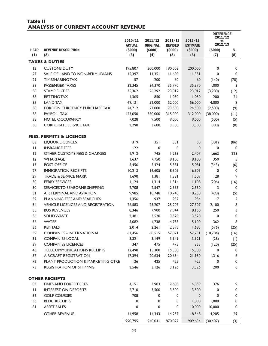#### **Table II ANALYSIS OF CURRENT ACCOUNT REVENUE**

|              |                                          |                         |                           |                          |                           | <b>DIFFERENCE</b><br>2011/12 |                |
|--------------|------------------------------------------|-------------------------|---------------------------|--------------------------|---------------------------|------------------------------|----------------|
|              |                                          | 2010/11                 | 2011/12                   | 2011/12                  | 2012/13                   | <b>VS</b><br>2012/13         |                |
| <b>HEAD</b>  | <b>REVENUE DESCRIPTION</b>               | <b>ACTUAL</b><br>(5000) | <b>ORIGINAL</b><br>(5000) | <b>REVISED</b><br>(5000) | <b>ESTIMATE</b><br>(5000) | (5000)                       | $\%$           |
| (1)          | (2)                                      | (3)                     | (4)                       | (5)                      | (6)                       | (7)                          | (8)            |
|              | <b>TAXES &amp; DUTIES</b>                |                         |                           |                          |                           |                              |                |
| 12           | <b>CUSTOMS DUTY</b>                      | 195,807                 | 200,000                   | 190,003                  | 200,000                   | 0                            | 0              |
| 27           | SALE OF LAND TO NON-BERMUDIANS           | 15,397                  | 11,351                    | 11,600                   | 11,351                    | $\mathbf 0$                  | $\pmb{0}$      |
| 29           | <b>TIMESHARING TAX</b>                   | 57                      | 200                       | 60                       | 60                        | (140)                        | (70)           |
| 38           | PASSENGER TAXES                          | 32,345                  | 34,370                    | 35,770                   | 35,370                    | 1,000                        | 3              |
| 38           | <b>STAMP DUTIES</b>                      | 35,362                  | 26,292                    | 23,012                   | 23,012                    | (3, 280)                     | (12)           |
| 38           | <b>BETTING TAX</b>                       | 1,365                   | 850                       | 1,050                    | 1,050                     | 200                          | 24             |
| 38           | <b>LAND TAX</b>                          | 49,131                  | 52,000                    | 52,000                   | 56,000                    | 4,000                        | 8              |
| 38           | FOREIGN CURRENCY PURCHASE TAX            | 24,712                  | 27,000                    | 23,500                   | 24,500                    | (2,500)                      | (9)            |
| 38           | PAYROLL TAX                              | 423,050                 | 350,000                   | 315,000                  | 312,000                   | (38,000)                     | (11)           |
| 38           | <b>HOTEL OCCUPANCY</b>                   | 7,028                   | 9,500                     | 9,000                    | 9,000                     | (500)                        | (5)            |
| 38           | <b>CORPORATE SERVICE TAX</b>             | 3,298                   | 3,600                     | 3,300                    | 3,300                     | (300)                        | (8)            |
|              | <b>FEES, PERMITS &amp; LICENCES</b>      |                         |                           |                          |                           |                              |                |
| 03           | <b>LIQUOR LICENCES</b>                   | 319                     | 351                       | 351                      | 50                        | (301)                        | (86)           |
| $\mathbf{H}$ | <b>INSRANCE FEES</b>                     | 122                     | 0                         | $\mathbf 0$              | $\mathbf 0$               | 0                            | 0              |
| 12           | OTHER CUSTOMS FEES & CHARGES             | 1,912                   | 745                       | 1,263                    | 2,407                     | 1,662                        | 223            |
| 12           | WHARFAGE                                 | 1,637                   | 7,750                     | 8,100                    | 8,100                     | 350                          | 5              |
| 3            | POST OFFICE                              | 5,456                   | 5,424                     | 5,381                    | 5,081                     | (343)                        | (6)            |
| 27           | <b>IMMIGRATION RECEIPTS</b>              | 10,213                  | 16,605                    | 8,605                    | 16,605                    | 0                            | $\pmb{0}$      |
| 29           | <b>TRADE &amp; SERVICE MARK</b>          | 1,690                   | 1,381                     | 1,381                    | 1,509                     | 128                          | 9              |
| 30           | <b>FERRY SERVICES</b>                    | 1,124                   | 1,314                     | 1,314                    | 1,108                     | (206)                        | (16)           |
| 30           | SERVICES TO SEABORNE SHIPPING            | 2,708                   | 2,547                     | 2,558                    | 2,550                     | 3                            | 0              |
| 31           | AIR TERMINAL AND AVIATION                | 9,985                   | 10,748                    | 10,748                   | 10,250                    | (498)                        | (5)            |
| 32           | PLANNING FEES AND SEARCHES               | 1,356                   | 937                       | 937                      | 954                       | 17                           | $\overline{2}$ |
| 34           | <b>VEHICLE LICENCES AND REGISTRATION</b> | 26,583                  | 25,207                    | 25,207                   | 27,307                    | 2,100                        | 8              |
| 35           | <b>BUS REVENUES</b>                      | 8,346                   | 7,900                     | 7,944                    | 8,150                     | 250                          | 3              |
| 36           | <b>SOLID WASTE</b>                       | 3,481                   | 3,520                     | 3,520                    | 3,520                     | $\mathbf 0$                  | 0              |
| 36           | <b>WATER</b>                             | 5,082                   | 4,738                     | 4,738                    | 5,100                     | 362                          | 8              |
| 36           | <b>RENTALS</b>                           | 2,014                   | 2,261                     | 2,395                    | 1,685                     | (576)                        | (25)           |
| 39           | <b>COMPANIES - INTERNATIONAL</b>         |                         | 61,456 68,515             | 57,821                   |                           | 57,731 (10,784)              | (16)           |
| 39           | <b>COMPANIES LOCAL</b>                   | 3,321                   | 3,149                     | 3,149                    | 3,121                     | (28)                         | (1)            |
| 39           | <b>COMPANIES LICENCES</b>                | 347                     | 475                       | 475                      | 355                       | (120)                        | (25)           |
| 46           | <b>TELECOMMUNICATIONS RECEIPTS</b>       | 12,498                  | 15,300                    | 15,300                   | 15,300                    | $\mathbf 0$                  | 0              |
| 57           | <b>AIRCRAFT REGISTRATION</b>             | 17,394                  | 20,634                    | 20,634                   | 21,950                    | 1,316                        | 6              |
| 72           | PLANT PRODUCTION & MARKETING CTRE        | 126                     | 425                       | 425                      | 425                       | $\mathbf 0$                  | 0              |
| 73           | <b>REGISTRATION OF SHIPPING</b>          | 3,546                   | 3,126                     | 3,126                    | 3,326                     | 200                          | 6              |
|              | <b>OTHER RECEIPTS</b>                    |                         |                           |                          |                           |                              |                |
| 03           | <b>FINES AND FORFEITURES</b>             | 4,151                   | 3,983                     | 2,603                    | 4,359                     | 376                          | 9              |
| $\mathbf{H}$ | <b>INTEREST ON DEPOSITS</b>              | 2,710                   | 3,500                     | 3,500                    | 3,500                     | $\overline{0}$               | 0              |
| 36           | <b>GOLF COURSES</b>                      | 708                     | $\mathbf 0$               | $\mathbf 0$              | $\mathbf 0$               | 0                            | 0              |
| 36           | <b>BLDC RECEIPTS</b>                     | 0                       | $\mathbf 0$               | $\mathbf 0$              | 1,000                     | 1,000                        | $\mathbf 0$    |
| 81           | <b>ASSET SALES</b>                       | 0                       | $\mathbf 0$               | $\mathbf 0$              | 10,000                    | 10,000                       | $\pmb{0}$      |
|              |                                          |                         |                           |                          |                           |                              |                |
|              | <b>OTHER REVENUE</b>                     | 14,958                  | 14,343                    | 14,257                   | 18,548                    | 4,205                        | 29             |
|              |                                          | 990,795                 | 940,041                   | 870,027                  | 909,634                   | (30, 407)                    | (3)            |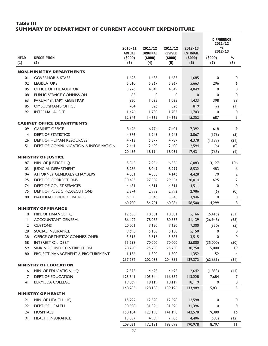#### **Table III SUMMARY BY DEPARTMENT OF CURRENT ACCOUNT EXPENDITURE**

|              |                                      |                         |                           |                          |                           | <b>DIFFERENCE</b><br>2011/12 |                |
|--------------|--------------------------------------|-------------------------|---------------------------|--------------------------|---------------------------|------------------------------|----------------|
|              |                                      | 2010/11                 | 2011/12                   | 2011/12                  | 2012/13                   | ٧S<br>2012/13                |                |
| <b>HEAD</b>  | <b>DESCRIPTION</b>                   | <b>ACTUAL</b><br>(5000) | <b>ORIGINAL</b><br>(5000) | <b>REVISED</b><br>(5000) | <b>ESTIMATE</b><br>(5000) | (5000)                       | %              |
| (1)          | (2)                                  | (3)                     | (4)                       | (5)                      | (6)                       | (7)                          | (8)            |
|              | <b>NON-MINISTRY DEPARTMENTS</b>      |                         |                           |                          |                           |                              |                |
| 01           | <b>GOVERNOR &amp; STAFF</b>          | 1,625                   | 1,685                     | 1,685                    | 1,685                     | 0                            | 0              |
| 02           | <b>LEGISLATURE</b>                   | 5,010                   | 5,367                     | 5,367                    | 5,663                     | 296                          | 6              |
| 05           | OFFICE OF THE AUDITOR                | 3,276                   | 4,049                     | 4,049                    | 4,049                     | $\mathbf 0$                  | 0              |
| 08           | PUBLIC SERVICE COMMISSION            | 85                      | 0                         | 0                        | 0                         | 0                            | $\mathbf 0$    |
| 63           | PARLIAMENTARY REGISTRAR              | 820                     | 1,035                     | 1,035                    | 1,433                     | 398                          | 38             |
| 85           | <b>OMBUDSMAN'S OFFICE</b>            | 704                     | 826                       | 826                      | 819                       | (7)                          | (1)            |
| 92           | <b>INTERNAL AUDIT</b>                | 1,426                   | 1,703                     | 1,703                    | 1,703                     | 0                            | 0              |
|              |                                      | 12,946                  | 14,665                    | 14,665                   | 15,352                    | 687                          | 5              |
|              | <b>CABINET OFFICE DEPARTMENTS</b>    |                         |                           |                          |                           |                              |                |
| 09           | <b>CABINET OFFICE</b>                | 8,426                   | 6,774                     | 7,401                    | 7,392                     | 618                          | 9              |
| 4            | <b>DEPT. OF STATISTICS</b>           | 4,876                   | 3,243                     | 3,243                    | 3,067                     | (176)                        | (5)            |
| 26           | DEPT. OF HUMAN RESOURCES             | 4,713                   | 5,577                     | 4,787                    | 4,378                     | (1, 199)                     | (21)           |
| 51           | DEPT. OF COMMUNICATION & INFORMATION | 2,441                   | 2,600                     | 2,600                    | 2,594                     | (6)                          | (0)            |
|              |                                      | 20,456                  | 18,194                    | 18,031                   | 17,431                    | (763)                        | (4)            |
|              | <b>MINISTRY OF JUSTICE</b>           |                         |                           |                          |                           |                              |                |
| 87           | MIN. OF JUSTICE HQ                   | 5,865                   | 2,956                     | 6,536                    | 6,083                     | 3,127                        | 106            |
| 03           | <b>JUDICIAL DEPARTMENT</b>           | 8,286                   | 8,049                     | 8,299                    | 8,532                     | 483                          | 6              |
| 04           | <b>ATTORNEY GENERAL'S CHAMBERS</b>   | 4,081                   | 4,358                     | 4,146                    | 4,428                     | 70                           | $\overline{2}$ |
| 25           | DEPT. OF CORRECTIONS                 | 30,483                  | 27,389                    | 29,654                   | 28,014                    | 625                          | $\overline{2}$ |
| 74           | DEPT. OF COURT SERVICES              | 4,481                   | 4,511                     | 4,511                    | 4,511                     | $\mathbf 0$                  | 0              |
| 75           | <b>DEPT. OF PUBLIC PROSECUTIONS</b>  | 2,374                   | 2,992                     | 2,992                    | 2,986                     | (6)                          | (0)            |
| 88           | NATIONAL DRUG CONTROL                | 5,330                   | 3,946                     | 3,946                    | 3,946                     | $\mathbf 0$                  | 0              |
|              |                                      | 60,900                  | 54,201                    | 60,084                   | 58,500                    | 4,299                        | 8              |
|              | <b>MINISTRY OF FINANCE</b>           |                         |                           |                          |                           |                              |                |
| 10           | MIN. OF FINANCE HQ                   | 12,635                  | 10,581                    | 10,581                   | 5,166                     | (5, 415)                     | (51)           |
| $\mathbf{H}$ | <b>ACCOUNTANT GENERAL</b>            | 86,422                  | 78,087                    | 80,837                   | 51,139                    | (26,948)                     | (35)           |
| 12           | <b>CUSTOMS</b>                       | 20,001                  | 7,650                     | 7,650                    | 7,300                     | (350)                        | (5)            |
| 28           | <b>SOCIAL INSURANCE</b>              | 9.695                   | 5,150                     | 5,150                    | 5,150                     | 0                            | 0              |
| 38           | OFFICE OF THE TAX COMMISSIONER       | 3,315                   | 3,515                     | 3,583                    | 3,515                     | 0                            | 0              |
| 58           | <b>INTEREST ON DEBT</b>              | 55,298                  | 70,000                    | 70,000                   | 35,000                    | (35,000)                     | (50)           |
| 59           | SINKING FUND CONTRIBUTION            | 28,760                  | 25,750                    | 25,750                   | 30,750                    | 5,000                        | 19             |
| 80           | PROJECT MANAGEMENT & PROCUREMENT     | 1,156                   | 1,300                     | 1,300                    | 1,352                     | 52                           | $\overline{4}$ |
|              |                                      | 217,282                 | 202,033                   | 204,851                  | 139,372                   | (62, 661)                    | (31)           |
|              | <b>MINISTRY OF EDUCATION</b>         |                         |                           |                          |                           |                              |                |
| 16           | MIN. OF EDUCATION HQ                 | 2,575                   | 4,495                     | 4,495                    | 2,642                     | (1, 853)                     | (41)           |
| 17           | DEPT. OF EDUCATION                   | 125,841                 | 105,544                   | 116,582                  | 113,228                   | 7,684                        | 7              |
| 41           | <b>BERMUDA COLLEGE</b>               | 19,869                  | 18, 119                   | 18, 119                  | 18, 119                   | 0                            | 0              |
|              |                                      | 148,285                 | 128,158                   | 139,196                  | 133,989                   | 5,831                        | 5              |
|              | <b>MINISTRY OF HEALTH</b>            |                         |                           |                          |                           |                              |                |
| 21           | MIN. OF HEALTH HQ                    | 15,292                  | 12,598                    | 12,598                   | 12,598                    | 0                            | 0              |
| 22           | DEPT. OF HEALTH                      | 30,508                  | 31,396                    | 31,396                   | 31,396                    | 0                            | 0              |
| 24           | <b>HOSPITALS</b>                     | 150,184                 | 123,198                   | 141,198                  | 142,578                   | 19,380                       | 16             |
| 91           | <b>HEALTH INSURANCE</b>              | 13,037                  | 4,989                     | 7,906                    | 4,406                     | (583)                        | (12)           |
|              |                                      | 209,021                 | 172, 181                  | 193,098                  | 190,978                   | 18,797                       | $\mathbf{H}$   |
|              |                                      |                         |                           |                          |                           |                              |                |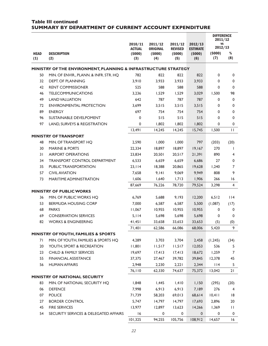#### **Table III continued SUMMARY BY DEPARTMENT OF CURRENT ACCOUNT EXPENDITURE**  2010/11 ACTUAL (\$000) (3) 2011/12 **ORIGINAL** (\$000) (4) 2011/12 REVISED (\$000) (5) 2012/13 ESTIMATE (\$000) (6) **DIFFERENCE** 2011/12 vs 2012/13 HEAD (1) **DESCRIPTION** (2) (\$000) (7) % (8) **MINISTRY OF THE ENVIRONMENT, PLANNING & INFRASTRUCTURE STRATEGY**

| <b>HEAD</b><br>(1) | <b>DESCRIPTION</b><br>(2)                                       | (5000)<br>(3) | (\$000)<br>(4) | (5000)<br>(5) | (5000)<br>(6) | (5000)<br>(7) | $\%$<br>(8)    |
|--------------------|-----------------------------------------------------------------|---------------|----------------|---------------|---------------|---------------|----------------|
|                    | MINISTRY OF THE ENVIRONMENT, PLANNING & INFRASTRUCTURE STRATEGY |               |                |               |               |               |                |
| 50                 | MIN. OF ENVIR., PLANN. & INFR. STR. HQ                          | 782           | 822            | 822           | 822           | 0             | 0              |
| 32                 | <b>DEPT. OF PLANNING</b>                                        | 3,910         | 3,933          | 3,933         | 3,933         | 0             | 0              |
| 42                 | <b>RENT COMMISSIONER</b>                                        | 525           | 588            | 588           | 588           | 0             | $\mathbf 0$    |
| 46                 | <b>TELECOMMUNICATIONS</b>                                       | 3,236         | 1,529          | 1,529         | 3,029         | 1,500         | 98             |
| 49                 | <b>LAND VALUATION</b>                                           | 642           | 787            | 787           | 787           | 0             | 0              |
| 72                 | <b>ENVIRONMENTAL PROTECTION</b>                                 | 3,699         | 3,515          | 3,515         | 3,515         | 0             | $\mathbf 0$    |
| 89                 | <b>ENERGY</b>                                                   | 697           | 754            | 754           | 754           | 0             | 0              |
| 96                 | SUSTAINABLE DEVELPOMENT                                         | 0             | 515            | 515           | 515           | 0             | $\mathbf 0$    |
| 97                 | LAND, SURVEYS & REGISTRATION                                    | 0             | 1,802          | 1,802         | 1,802         | 0             | 0              |
|                    |                                                                 | 13,491        | 14,245         | 14,245        | 15,745        | 1,500         | П              |
|                    | <b>MINISTRY OF TRANSPORT</b>                                    |               |                |               |               |               |                |
| 48                 | MIN. OF TRANSPORT HQ                                            | 2,590         | 1,000          | 1,000         | 797           | (203)         | (20)           |
| 30                 | <b>MARINE &amp; PORTS</b>                                       | 22,334        | 18,897         | 18,897        | 19,167        | 270           |                |
| 31                 | <b>AIRPORT OPERATIONS</b>                                       | 23,834        | 20,501         | 20,517        | 21,391        | 890           | 4              |
| 34                 | TRANSPORT CONTROL DEPARTMENT                                    | 6,533         | 6,659          | 6,659         | 6,686         | 27            | 0              |
| 35                 | PUBLIC TRANSPORTATION                                           | 23,114        | 18,388         | 20,865        | 19,628        | 1,240         | $\overline{7}$ |
| 57                 | <b>CIVIL AVIATION</b>                                           | 7.658         | 9,141          | 9,069         | 9,949         | 808           | 9              |
| 73                 | MARITIME ADMINISTRATION                                         | 1,606         | 1,640          | 1,713         | 1,906         | 266           | 16             |
|                    |                                                                 | 87,669        | 76,226         | 78,720        | 79,524        | 3,298         | 4              |
|                    | <b>MINISTRY OF PUBLIC WORKS</b>                                 |               |                |               |               |               |                |
| 36                 | MIN. OF PUBLIC WORKS HQ                                         | 6,769         | 5,688          | 9,193         | 12,200        | 6,512         | 114            |
| 53                 | <b>BERMUDA HOUSING CORP</b>                                     | 7,000         | 6,587          | 6,587         | 5,500         | (1,087)       | (17)           |
| 68                 | <b>PARKS</b>                                                    | 11,067        | 10,955         | 10,955        | 10,955        | 0             | 0              |
| 69                 | <b>CONSERVATION SERVICES</b>                                    | 5,114         | 5,698          | 5,698         | 5,698         | 0             | 0              |
| 82                 | <b>WORKS &amp; ENGINEERING</b>                                  | 41,451        | 33,658         | 33,653        | 33,653        | (5)           | (0)            |
|                    |                                                                 | 71,401        | 62,586         | 66,086        | 68,006        | 5,420         | 9              |
|                    | MINISTRY OF YOUTH, FAMILIES & SPORTS                            |               |                |               |               |               |                |
| 71                 | MIN. OF YOUTH, FAMILIES & SPORTS HQ                             | 4,289         | 3,703          | 3,704         | 2,458         | (1, 245)      | (34)           |
| 20                 | YOUTH, SPORT & RECREATION                                       | 11,801        | 11,517         | 11,517        | 12,053        | 536           | 5.             |
| 23                 | <b>CHILD &amp; FAMILY SERVICES</b>                              | 19,697        | 17,413         | 17,413        | 18,672        | 1,259         | 7              |
| 55                 | <b>FINANCIAL ASSISTANCE</b>                                     | 37,375        | 27,467         | 39,782        | 39,845        | 12,378        | 45             |
| 56                 | <b>HUMAN AFFAIRS</b>                                            | 2,948         | 2,230          | 2,221         | 2,344         | 114           | 5              |
|                    |                                                                 | 76,110        | 62,330         | 74,637        | 75,372        | 13,042        | 21             |
|                    | MINISTRY OF NATIONAL SECURITY                                   |               |                |               |               |               |                |
| 83                 | MIN. OF NATIONAL SECURITY HQ                                    | 1,848         | 1,445          | 1,410         | 1,150         | (295)         | (20)           |
| 06                 | <b>DEFENCE</b>                                                  | 7,998         | 6,913          | 6,913         | 7,189         | 276           | $\overline{4}$ |
| 07                 | <b>POLICE</b>                                                   | 71,739        | 58,203         | 69,013        | 68,614        | 10,411        | 8              |
| 27                 | <b>BORDER CONTROL</b>                                           | 5,747         | 14,797         | 14,797        | 17,693        | 2,896         | 20             |
| 45                 | <b>FIRE SERVICES</b>                                            | 13,977        | 12,897         | 13,623        | 14,266        | 1,369         | $\mathbf{H}$   |
| 54                 | SECURITY SERVICES & DELEGATED AFFAIRS                           | 16            | 0              | 0             | $\mathbf 0$   | 0             | 0              |
|                    |                                                                 | 101,325       | 94,255         | 105,756       | 108,912       | 14,657        | 16             |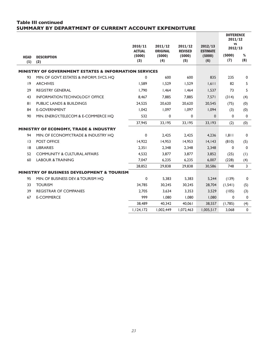#### **Table III continued SUMMARY BY DEPARTMENT OF CURRENT ACCOUNT EXPENDITURE**

|                    |                                                                  |                          |                            |                           |                            | <b>DIFFERENCE</b><br>2011/12<br><b>VS</b> |             |
|--------------------|------------------------------------------------------------------|--------------------------|----------------------------|---------------------------|----------------------------|-------------------------------------------|-------------|
|                    |                                                                  | 2010/11<br><b>ACTUAL</b> | 2011/12<br><b>ORIGINAL</b> | 2011/12<br><b>REVISED</b> | 2012/13<br><b>ESTIMATE</b> | 2012/13                                   |             |
| <b>HEAD</b><br>(1) | <b>DESCRIPTION</b><br>(2)                                        | (5000)<br>(3)            | (5000)<br>(4)              | (5000)<br>(5)             | (5000)<br>(6)              | (5000)<br>(7)                             | %<br>(8)    |
|                    | <b>MINISTRY OF GOVERNMENT ESTATES &amp; INFORMATION SERVICES</b> |                          |                            |                           |                            |                                           |             |
| 93                 | MIN. OF GOVT. ESTATES & INFORM. SVCS. HQ                         | 0                        | 600                        | 600                       | 835                        | 235                                       | 0           |
| 9                  | <b>ARCHIVES</b>                                                  | 1,589                    | 1,529                      | 1,529                     | 1,611                      | 82                                        | 5           |
| 29                 | <b>REGISTRY GENERAL</b>                                          | 1.790                    | 1,464                      | 1,464                     | 1,537                      | 73                                        | 5           |
| 43                 | <b>INFORMATION TECHNOLOGY OFFICE</b>                             |                          | 7.885                      | 7.885                     |                            |                                           |             |
|                    |                                                                  | 8,467                    |                            |                           | 7,571                      | (314)                                     | (4)         |
| 8 <sub>1</sub>     | <b>PUBLIC LANDS &amp; BUILDINGS</b>                              | 24,525                   | 20,620                     | 20,620                    | 20,545                     | (75)                                      | (0)         |
| 84                 | <b>E-GOVERNMENT</b>                                              | 1.042                    | 1.097                      | 1,097                     | 1.094                      | (3)                                       | (0)         |
| 90                 | MIN. ENERGY, TELECOM & E-COMMERCE HQ                             | 532                      | $\mathbf 0$                | 0                         | $\mathbf{0}$               | $\Omega$                                  | 0           |
|                    |                                                                  | 37,945                   | 33,195                     | 33,195                    | 33,193                     | (2)                                       | (0)         |
|                    | MINISTRY OF ECONOMY, TRADE & INDUSTRY                            |                          |                            |                           |                            |                                           |             |
| 94                 | MIN. OF ECONOMY, TRADE & INDUSTRY HO                             | 0                        | 2,425                      | 2,425                     | 4.236                      | 1.811                                     | 0           |
| $\overline{13}$    | <b>POST OFFICE</b>                                               | 14,922                   | 14,953                     | 14,953                    | 14, 143                    | (810)                                     | (5)         |
| 8                  | <b>LIBRARIES</b>                                                 | 2.351                    | 2,348                      | 2,348                     | 2,348                      | $\mathbf 0$                               | 0           |
| 52                 | <b>COMMUNITY &amp; CULTURAL AFFAIRS</b>                          | 4,532                    | 3,877                      | 3,877                     | 3,852                      | (25)                                      | (1)         |
| 60                 | <b>LABOUR &amp; TRAINING</b>                                     | 7,047                    | 6,235                      | 6,235                     | 6,007                      | (228)                                     | (4)         |
|                    |                                                                  | 28,852                   | 29,838                     | 29,838                    | 30,586                     | 748                                       | 3           |
|                    | <b>MINISTRY OF BUSINESS DEVELOPMENT &amp; TOURISM</b>            |                          |                            |                           |                            |                                           |             |
| 95                 | MIN. OF BUSINESS DEV. & TOURISM HO                               | 0                        | 5,383                      | 5,383                     | 5,244                      | (139)                                     | $\mathbf 0$ |
| 33                 | <b>TOURISM</b>                                                   | 34.785                   | 30,245                     | 30,245                    | 28,704                     | (1, 541)                                  | (5)         |
| 39                 | <b>REGISTRAR OF COMPANIES</b>                                    | 2.705                    | 3,634                      | 3,353                     | 3,529                      | (105)                                     | (3)         |
| 67                 | <b>E-COMMERCE</b>                                                | 999                      | 1,080                      | 1,080                     | 1,080                      | $\mathbf{0}$                              | 0           |
|                    |                                                                  | 38,489                   | 40,342                     | 40,061                    | 38,557                     | (1,785)                                   | (4)         |
|                    |                                                                  | 1,124,172                | 1,002,449                  | 1,072,463                 | 1,005,517                  | 3,068                                     | $\mathbf 0$ |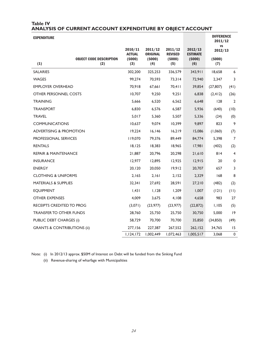#### **Table IV ANALYSIS OF CURRENT ACCOUNT EXPENDITURE BY OBJECT ACCOUNT**

| <b>EXPENDITURE</b> |
|--------------------|
|--------------------|

| <b>EXPENDITURE</b>                     |                                       |                                           |                                             |                                            |                                             | <b>DIFFERENCE</b><br>2011/12          |                |
|----------------------------------------|---------------------------------------|-------------------------------------------|---------------------------------------------|--------------------------------------------|---------------------------------------------|---------------------------------------|----------------|
| (1)                                    | <b>OBJECT CODE DESCRIPTION</b><br>(2) | 2010/11<br><b>ACTUAL</b><br>(5000)<br>(3) | 2011/12<br><b>ORIGINAL</b><br>(5000)<br>(4) | 2011/12<br><b>REVISED</b><br>(5000)<br>(5) | 2012/13<br><b>ESTIMATE</b><br>(5000)<br>(6) | <b>VS</b><br>2012/13<br>(5000)<br>(7) |                |
| <b>SALARIES</b>                        |                                       | 302,200                                   | 325,253                                     | 336,579                                    | 343,911                                     | 18,658                                | 6              |
| <b>WAGES</b>                           |                                       | 99,274                                    | 70,593                                      | 73,314                                     | 72,940                                      | 2,347                                 | 3              |
| <b>EMPLOYER OVERHEAD</b>               |                                       | 70,918                                    | 67,661                                      | 70,411                                     | 39,854                                      | (27, 807)                             | (41)           |
| OTHER PERSONNEL COSTS                  |                                       | 10,707                                    | 9,250                                       | 9,251                                      | 6,838                                       | (2, 412)                              | (26)           |
| <b>TRAINING</b>                        |                                       | 5,666                                     | 6,520                                       | 6,562                                      | 6,648                                       | 128                                   | 2              |
| <b>TRANSPORT</b>                       |                                       | 6,830                                     | 6,576                                       | 6,587                                      | 5,936                                       | (640)                                 | (10)           |
| <b>TRAVEL</b>                          |                                       | 5,017                                     | 5,360                                       | 5,507                                      | 5,336                                       | (24)                                  | (0)            |
| <b>COMMUNICATIONS</b>                  |                                       | 10,637                                    | 9,074                                       | 10,399                                     | 9,897                                       | 823                                   | 9              |
| <b>ADVERTISING &amp; PROMOTION</b>     |                                       | 19,224                                    | 16, 146                                     | 16,219                                     | 15,086                                      | (1,060)                               | (7)            |
| PROFESSIONAL SERVICES                  |                                       | 119,070                                   | 79,376                                      | 89,449                                     | 84,774                                      | 5,398                                 | 7              |
| <b>RENTALS</b>                         |                                       | 18,125                                    | 18,383                                      | 18,965                                     | 17,981                                      | (402)                                 | (2)            |
| <b>REPAIR &amp; MAINTENANCE</b>        |                                       | 21,887                                    | 20,796                                      | 20,298                                     | 21,610                                      | 814                                   | $\overline{4}$ |
| <b>INSURANCE</b>                       |                                       | 12,977                                    | 12,895                                      | 12,925                                     | 12,915                                      | 20                                    | $\mathbf 0$    |
| <b>ENERGY</b>                          |                                       | 20,120                                    | 20,050                                      | 19,912                                     | 20,707                                      | 657                                   | 3              |
| <b>CLOTHING &amp; UNIFORMS</b>         |                                       | 2,165                                     | 2,161                                       | 2,152                                      | 2,329                                       | 168                                   | 8              |
| <b>MATERIALS &amp; SUPPLIES</b>        |                                       | 32,341                                    | 27,692                                      | 28,591                                     | 27,210                                      | (482)                                 | (2)            |
| <b>EQUIPMENT</b>                       |                                       | 1,431                                     | 1,128                                       | 1,209                                      | 1,007                                       | (121)                                 | (11)           |
| <b>OTHER EXPENSES</b>                  |                                       | 4,009                                     | 3,675                                       | 4,108                                      | 4,658                                       | 983                                   | 27             |
| RECEIPTS CREDITED TO PROG              |                                       | (3,071)                                   | (23, 977)                                   | (23,977)                                   | (22, 872)                                   | 1,105                                 | (5)            |
| <b>TRANSFER TO OTHER FUNDS</b>         |                                       | 28,760                                    | 25,750                                      | 25,750                                     | 30,750                                      | 5,000                                 | $ 9\rangle$    |
| <b>PUBLIC DEBT CHARGES (i)</b>         |                                       | 58,729                                    | 70,700                                      | 70,700                                     | 35,850                                      | (34, 850)                             | (49)           |
| <b>GRANTS &amp; CONTRIBUTIONS (ii)</b> |                                       | 277,156                                   | 227,387                                     | 267,552                                    | 262,152                                     | 34,765                                | 15             |
|                                        |                                       | 1,124,172                                 | 1,002,449                                   | 1,072,463                                  | 1,005,517                                   | 3,068                                 | 0              |

Note: (i) In 2012/13 approx. \$50M of Interest on Debt will be funded from the Sinking Fund

(ii) Revenue-sharing of wharfage with Municipalities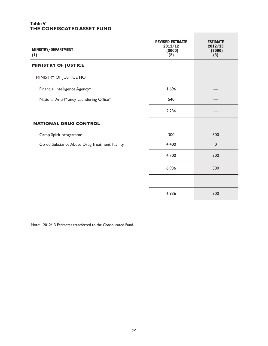#### **Table V THE CONFISCATED ASSET FUND**

| MINISTRY/DEPARTMENT<br>(1)                    | <b>REVISED ESTIMATE</b><br>2011/12<br>(5000)<br>(2) | <b>ESTIMATE</b><br>2012/13<br>(5000)<br>(3) |
|-----------------------------------------------|-----------------------------------------------------|---------------------------------------------|
| <b>MINISTRY OF JUSTICE</b>                    |                                                     |                                             |
| MINISTRY OF JUSTICE HQ                        |                                                     |                                             |
| Financial Intelligence Agency*                | 1,696                                               |                                             |
| National Anti-Money Laundering Office*        | 540                                                 |                                             |
|                                               | 2,236                                               |                                             |
| <b>NATIONAL DRUG CONTROL</b>                  |                                                     |                                             |
| Camp Spirit programme                         | 300                                                 | 300                                         |
| Co-ed Substance Abuse Drug Treatment Facility | 4,400                                               | $\mathbf 0$                                 |
|                                               | 4,700                                               | 300                                         |
|                                               | 6,936                                               | 300                                         |
|                                               |                                                     |                                             |
|                                               | 6,936                                               | 300                                         |

Note: 2012/13 Estimates transferred to the Consolidated Fund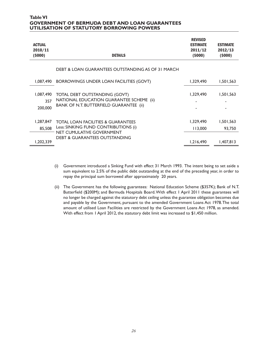#### **Table VI GOVERNMENT OF BERMUDA DEBT AND LOAN GUARANTEES UTILISATION OF STATUTORY BORROWING POWERS**

| <b>ACTUAL</b><br>2010/11<br>(5000) | <b>DETAILS</b>                                                                                                                     | <b>REVISED</b><br><b>ESTIMATE</b><br>2011/12<br>(5000) | <b>ESTIMATE</b><br>2012/13<br>(5000) |
|------------------------------------|------------------------------------------------------------------------------------------------------------------------------------|--------------------------------------------------------|--------------------------------------|
|                                    | DEBT & LOAN GUARANTEES OUTSTANDING AS OF 31 MARCH                                                                                  |                                                        |                                      |
| 1,087,490                          | BORROWINGS UNDER LOAN FACILITIES (GOVT)                                                                                            | 1,329,490                                              | 1,501,563                            |
| 1,087,490<br>357<br>200,000        | <b>TOTAL DEBT OUTSTANDING (GOVT)</b><br>NATIONAL EDUCATION GUARANTEE SCHEME (ii)<br><b>BANK OF N.T. BUTTERFIELD GUARANTEE (ii)</b> | 1.329,490                                              | 1,501,563                            |
| 1,287,847<br>85,508                | <b>TOTAL LOAN FACILITIES &amp; GUARANTEES</b><br>Less: SINKING FUND CONTRIBUTIONS (i)                                              | 1,329,490<br>113,000                                   | 1,501,563<br>93,750                  |
| 1,202,339                          | NET CUMULATIVE GOVERNMENT<br><b>DEBT &amp; GUARANTEES OUTSTANDING</b>                                                              | 1,216,490                                              | 1,407,813                            |

- (i) Government introduced a Sinking Fund with effect 31 March 1993. The intent being to set aside a sum equivalent to 2.5% of the public debt outstanding at the end of the preceding year, in order to repay the principal sum borrowed after approximately 20 years.
- (ii) The Government has the following guarantees: National Education Scheme (\$357K); Bank of N.T. Butterfield (\$200M); and Bermuda Hospitals Board. With effect 1 April 2011 these guarantees will no longer be charged against the statutory debt ceiling unless the guarantee obligation becomes due and payable by the Government, pursuant to the amended Government Loans Act 1978. The total amount of utilised Loan Facilities are restricted by the Government Loans Act 1978, as amended. With effect from 1 April 2012, the statutory debt limit was increased to \$1,450 million.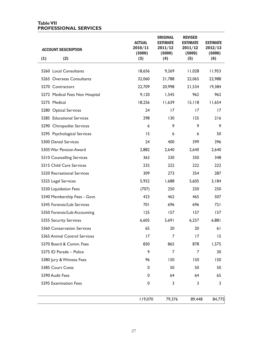#### **Table VII PROFESSIONAL SERVICES**

| <b>ACCOUNT DESCRIPTION</b>     | <b>ACTUAL</b><br>2010/11<br>(5000) | <b>ORIGINAL</b><br><b>ESTIMATE</b><br>2011/12<br>(5000) | <b>REVISED</b><br><b>ESTIMATE</b><br>2011/12<br>(5000) | <b>ESTIMATE</b><br>2012/13<br>(5000) |
|--------------------------------|------------------------------------|---------------------------------------------------------|--------------------------------------------------------|--------------------------------------|
| (1)<br>(2)                     | (3)                                | (4)                                                     | (5)                                                    | (6)                                  |
| 5260 Local Consultants         | 18,656                             | 9,269                                                   | 11,028                                                 | 11,953                               |
| 5265 Overseas Consultants      | 32,060                             | 21,788                                                  | 22,065                                                 | 22,988                               |
| 5270 Contractors               | 22,709                             | 20,998                                                  | 21,534                                                 | 19,384                               |
| 5272 Medical Fees Non Hospital | 9,120                              | 1,545                                                   | 962                                                    | 962                                  |
| 5275 Medical                   | 18,256                             | 11,639                                                  | 15,118                                                 | 11,654                               |
| 5280 Optical Services          | 24                                 | 17                                                      | 17                                                     | 17                                   |
| 5285 Educational Services      | 298                                | 130                                                     | 125                                                    | 216                                  |
| 5290 Chiropodist Services      | 6                                  | 9                                                       | 9                                                      | 9                                    |
| 5295 Psychological Services    | 15                                 | 6                                                       | 6                                                      | 50                                   |
| 5300 Dental Services           | 24                                 | 400                                                     | 399                                                    | 396                                  |
| 5305 War Pension Award         | 2,882                              | 2,640                                                   | 2,640                                                  | 2,640                                |
| 5310 Counselling Services      | 363                                | 330                                                     | 350                                                    | 348                                  |
| 5315 Child Care Services       | 232                                | 222                                                     | 222                                                    | 222                                  |
| 5320 Recreational Services     | 309                                | 273                                                     | 354                                                    | 287                                  |
| 5325 Legal Services            | 5,952                              | 1,688                                                   | 5,605                                                  | 3,184                                |
| 5330 Liquidation Fees          | (707)                              | 250                                                     | 250                                                    | 250                                  |
| 5340 Membership Fees - Govt.   | 423                                | 462                                                     | 465                                                    | 507                                  |
| 5345 Forensic/Lab Services     | 701                                | 696                                                     | 696                                                    | 721                                  |
| 5350 Forensic/Lab Accounting   | 125                                | 157                                                     | 157                                                    | 157                                  |
| 5355 Security Services         | 6,605                              | 5,691                                                   | 6,257                                                  | 6,881                                |
| 5360 Conservation Services     | 65                                 | 20                                                      | 20                                                     | 61                                   |
| 5365 Animal Control Services   | 17                                 | $\overline{7}$                                          | 17                                                     | 15                                   |
| 5370 Board & Comm. Fees        | 830                                | 865                                                     | 878                                                    | 1,575                                |
| 5375 ID Parade - Police        | 9                                  | 7                                                       | $\overline{7}$                                         | 30                                   |
| 5380 Jury & Witness Fees       | 96                                 | 150                                                     | 150                                                    | 150                                  |
| 5385 Court Costs               | 0                                  | 50                                                      | 50                                                     | 50                                   |
| 5390 Audit Fees                | 0                                  | 64                                                      | 64                                                     | 65                                   |
| 5395 Examination Fees          | 0                                  | 3                                                       | 3                                                      | 3                                    |
|                                | 119,070                            | 79,376                                                  | 89,448                                                 | 84,775                               |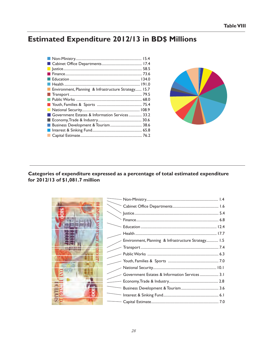## **Estimated Expenditure 2012/13 in BD\$ Millions**

|     | ■ Health ……………………………………………………………………… 191.0           |  |
|-----|------------------------------------------------------|--|
|     | Environment, Planning & Infrastructure Strategy 15.7 |  |
|     |                                                      |  |
|     |                                                      |  |
|     |                                                      |  |
|     |                                                      |  |
|     | Government Estates & Information Services 33.2       |  |
|     |                                                      |  |
|     | Business Development & Tourism 38.6                  |  |
| a l |                                                      |  |
|     |                                                      |  |



#### Categories of expenditure expressed as a percentage of total estimated expenditure for 2012/13 of \$1,081.7 million

| Environment, Planning & Infrastructure Strategy 1.5 |  |
|-----------------------------------------------------|--|
|                                                     |  |
|                                                     |  |
|                                                     |  |
|                                                     |  |
| Government Estates & Information Services  3.1      |  |
|                                                     |  |
|                                                     |  |
|                                                     |  |
|                                                     |  |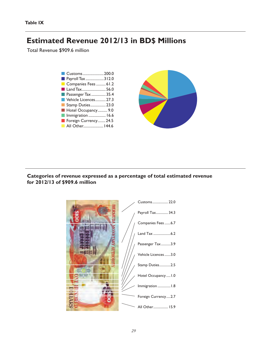## **Estimated Revenue 2012/13 in BD\$ Millions**

Total Revenue \$909.6 million



#### **Categories of revenue expressed as a percentage of total estimated revenue for 2012/13 of \$909.6 million**